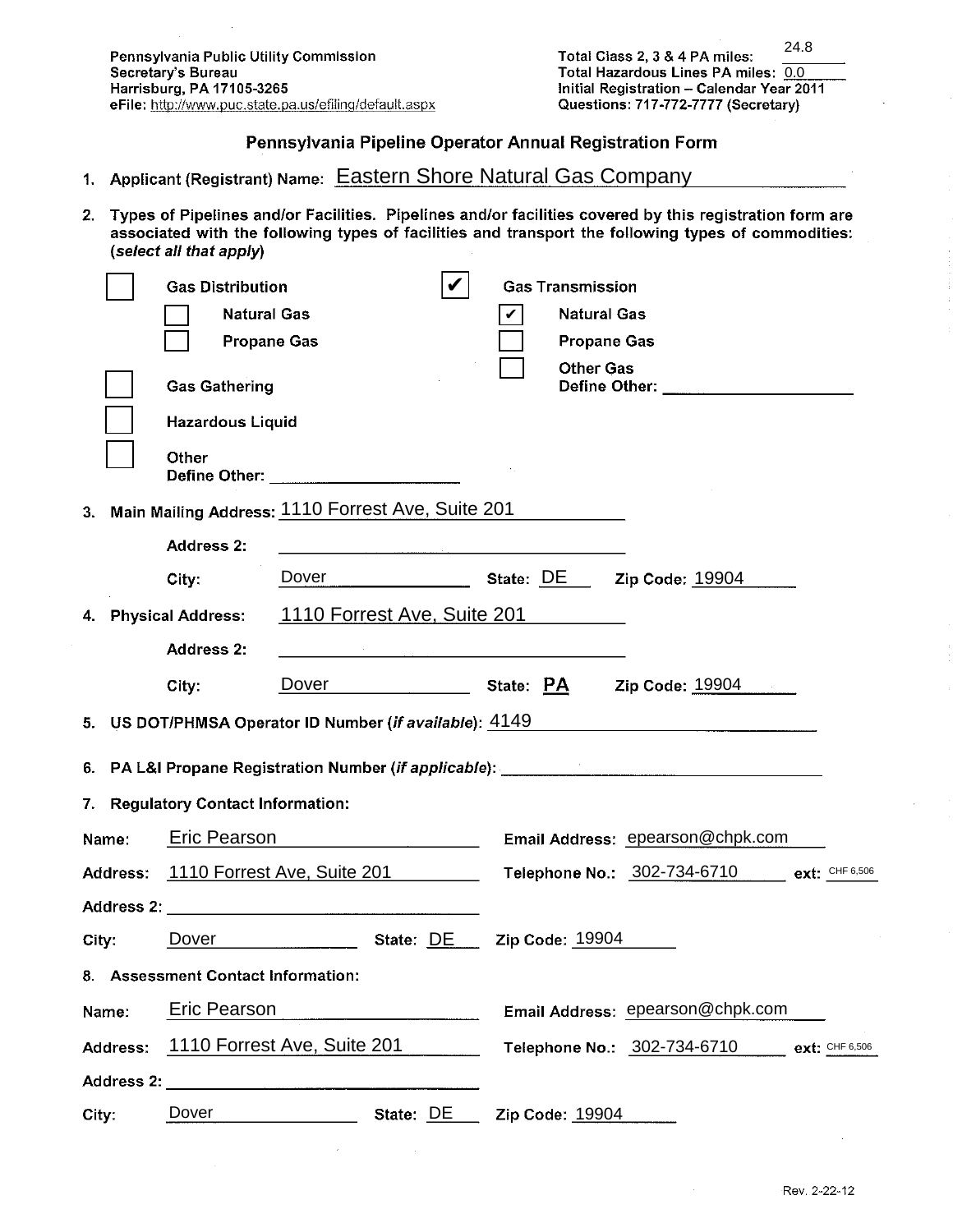### Pennsylvania Pipeline Operator Annual Registration Form

- 1. Applicant (Registrant) Name: Eastern Shore Natural Gas Company
- 2. Types of Pipelines and/or Facilities. Pipelines and/or facilities covered by this registration form are associated with the following types of facilities and transport the following types of commodities: (select all that apply)

|          | <b>Gas Distribution</b>                                 |  |                                                                                                                                                                                                                                   |  | <b>Gas Transmission</b> |                                                                                  |                       |
|----------|---------------------------------------------------------|--|-----------------------------------------------------------------------------------------------------------------------------------------------------------------------------------------------------------------------------------|--|-------------------------|----------------------------------------------------------------------------------|-----------------------|
|          | <b>Natural Gas</b>                                      |  |                                                                                                                                                                                                                                   |  | <b>Natural Gas</b>      |                                                                                  |                       |
|          | <b>Propane Gas</b>                                      |  |                                                                                                                                                                                                                                   |  | <b>Propane Gas</b>      |                                                                                  |                       |
|          | <b>Gas Gathering</b>                                    |  |                                                                                                                                                                                                                                   |  | <b>Other Gas</b>        | Define Other: __________________________                                         |                       |
|          | <b>Hazardous Liquid</b>                                 |  |                                                                                                                                                                                                                                   |  |                         |                                                                                  |                       |
|          | Other<br>Define Other: ________________________         |  |                                                                                                                                                                                                                                   |  |                         |                                                                                  |                       |
|          | 3. Main Mailing Address: 1110 Forrest Ave, Suite 201    |  |                                                                                                                                                                                                                                   |  |                         |                                                                                  |                       |
|          | <b>Address 2:</b>                                       |  | a se de la construcción de la construcción de la construcción de la construcción de la construcción de la const<br>A la construcción de la construcción de la construcción de la construcción de la construcción de la construcci |  |                         |                                                                                  |                       |
|          | City:                                                   |  |                                                                                                                                                                                                                                   |  |                         | Dover State: DE Zip Code: 19904                                                  |                       |
|          | 4. Physical Address:                                    |  | 1110 Forrest Ave, Suite 201                                                                                                                                                                                                       |  |                         |                                                                                  |                       |
|          | Address 2:                                              |  | <u> 1989 - Johann John Stone, mars eta bainar eta baina eta baina eta baina eta baina eta baina eta baina eta ba</u>                                                                                                              |  |                         |                                                                                  |                       |
|          | City:                                                   |  | Dover State: PA                                                                                                                                                                                                                   |  |                         | Zip Code: 19904                                                                  |                       |
|          | 5. US DOT/PHMSA Operator ID Number (if available): 4149 |  |                                                                                                                                                                                                                                   |  |                         |                                                                                  |                       |
|          |                                                         |  |                                                                                                                                                                                                                                   |  |                         | 6. PA L&I Propane Registration Number (if applicable): _________________________ |                       |
|          | 7. Regulatory Contact Information:                      |  |                                                                                                                                                                                                                                   |  |                         |                                                                                  |                       |
| Name:    | Eric Pearson <b>Example 2014</b>                        |  |                                                                                                                                                                                                                                   |  |                         | Email Address: epearson@chpk.com                                                 |                       |
|          | Address: 1110 Forrest Ave, Suite 201                    |  |                                                                                                                                                                                                                                   |  |                         | Telephone No.: 302-734-6710 ext: CHF 6,506                                       |                       |
|          |                                                         |  |                                                                                                                                                                                                                                   |  |                         |                                                                                  |                       |
| City:    | Dover State: DE Zip Code: 19904                         |  |                                                                                                                                                                                                                                   |  |                         |                                                                                  |                       |
|          | 8. Assessment Contact Information:                      |  |                                                                                                                                                                                                                                   |  |                         |                                                                                  |                       |
| Name:    | <b>Eric Pearson</b>                                     |  |                                                                                                                                                                                                                                   |  |                         | Email Address: epearson@chpk.com                                                 |                       |
| Address: | 1110 Forrest Ave, Suite 201                             |  |                                                                                                                                                                                                                                   |  |                         | Telephone No.: 302-734-6710                                                      | <b>ext:</b> CHF 6,506 |
|          | Address 2: Address 2:                                   |  |                                                                                                                                                                                                                                   |  |                         |                                                                                  |                       |
| City:    | Dover                                                   |  | State: DE                                                                                                                                                                                                                         |  | Zip Code: 19904         |                                                                                  |                       |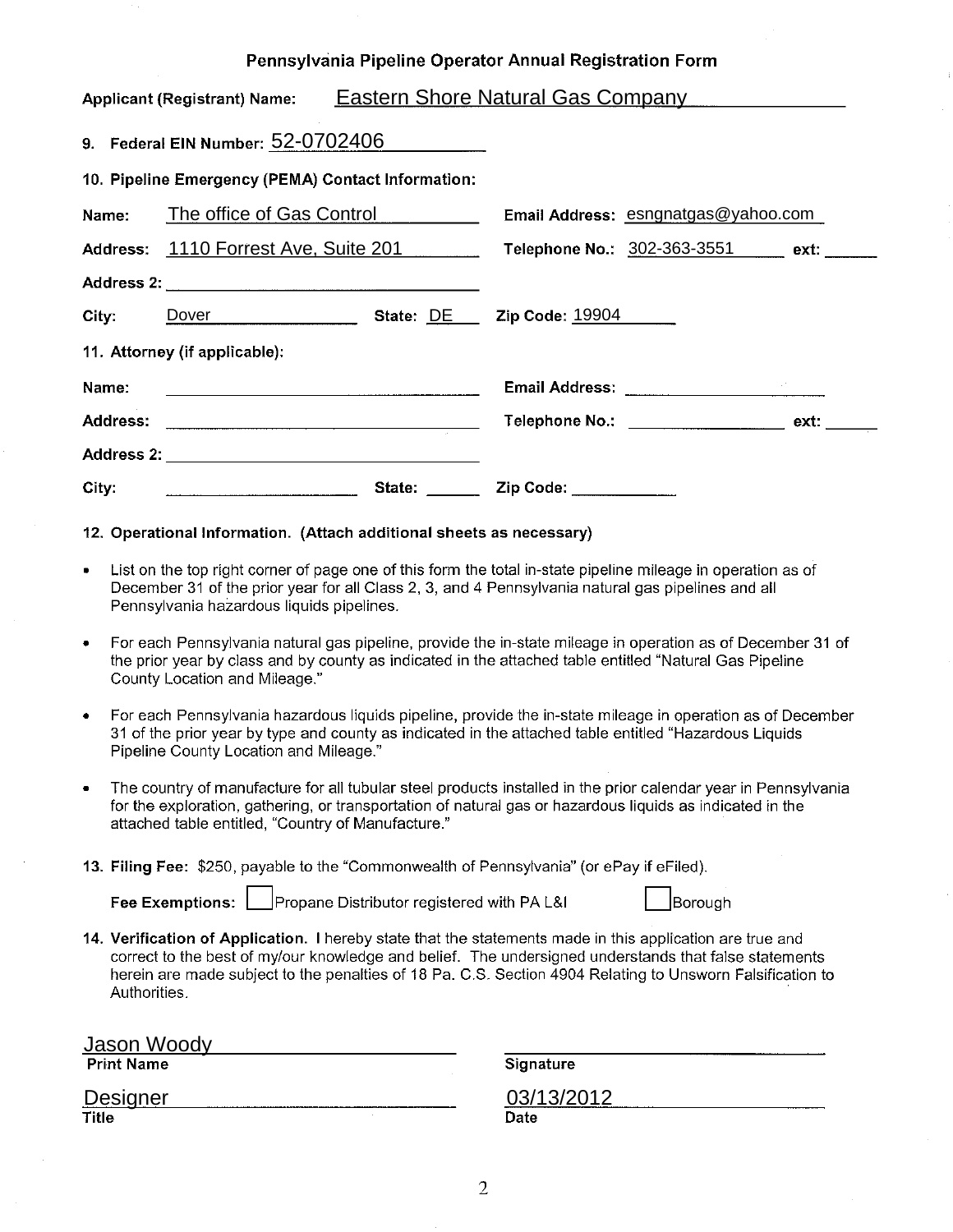#### Pennsylvania Pipeline Operator Annual Registration Form

|                                                    | <b>Applicant (Registrant) Name:</b>                                                                                   | <u>Eastern Shore Natural Gas Company</u> |                                  |                                     |  |  |  |  |  |
|----------------------------------------------------|-----------------------------------------------------------------------------------------------------------------------|------------------------------------------|----------------------------------|-------------------------------------|--|--|--|--|--|
| 9. Federal EIN Number: 52-0702406                  |                                                                                                                       |                                          |                                  |                                     |  |  |  |  |  |
| 10. Pipeline Emergency (PEMA) Contact Information: |                                                                                                                       |                                          |                                  |                                     |  |  |  |  |  |
|                                                    | Name: The office of Gas Control                                                                                       |                                          |                                  | Email Address: esngnatgas@yahoo.com |  |  |  |  |  |
|                                                    | Address: 1110 Forrest Ave, Suite 201                                                                                  |                                          | Telephone No.: 302-363-3551 ext: |                                     |  |  |  |  |  |
|                                                    |                                                                                                                       |                                          |                                  |                                     |  |  |  |  |  |
| City: <b>City</b>                                  | Dover <u>Dover</u>                                                                                                    |                                          | State: DE Zip Code: 19904        |                                     |  |  |  |  |  |
|                                                    | 11. Attorney (if applicable):                                                                                         |                                          |                                  |                                     |  |  |  |  |  |
| Name:                                              | <u> Louis Communication de la communication de la communication de la communication de la communication de la com</u> |                                          |                                  |                                     |  |  |  |  |  |
|                                                    |                                                                                                                       |                                          |                                  | Telephone No.: ext:                 |  |  |  |  |  |
|                                                    |                                                                                                                       |                                          |                                  |                                     |  |  |  |  |  |
| City:                                              |                                                                                                                       |                                          | State: Zip Code:                 |                                     |  |  |  |  |  |

#### 12. Operational Information. (Attach additional sheets as necessary)

- List on the top right corner of page one of this form the total in-state pipeline mileage in operation as of  $\bullet$ December 31 of the prior year for all Class 2, 3, and 4 Pennsylvania natural gas pipelines and all Pennsylvania hazardous liquids pipelines.
- For each Pennsylvania natural gas pipeline, provide the in-state mileage in operation as of December 31 of the prior year by class and by county as indicated in the attached table entitled "Natural Gas Pipeline County Location and Mileage."
- For each Pennsylvania hazardous liquids pipeline, provide the in-state mileage in operation as of December  $\bullet$ 31 of the prior year by type and county as indicated in the attached table entitled "Hazardous Liquids" Pipeline County Location and Mileage."
- The country of manufacture for all tubular steel products installed in the prior calendar year in Pennsylvania for the exploration, gathering, or transportation of natural gas or hazardous liquids as indicated in the attached table entitled, "Country of Manufacture."
- 13. Filing Fee: \$250, payable to the "Commonwealth of Pennsylvania" (or ePay if eFiled).

Fee Exemptions:

Propane Distributor registered with PA L&I

**Borough** 

14. Verification of Application. I hereby state that the statements made in this application are true and correct to the best of my/our knowledge and belief. The undersigned understands that false statements herein are made subject to the penalties of 18 Pa. C.S. Section 4904 Relating to Unsworn Falsification to Authorities.

**Jason Woody Print Name** 

Designer Title

Signature

03/13/2012 Date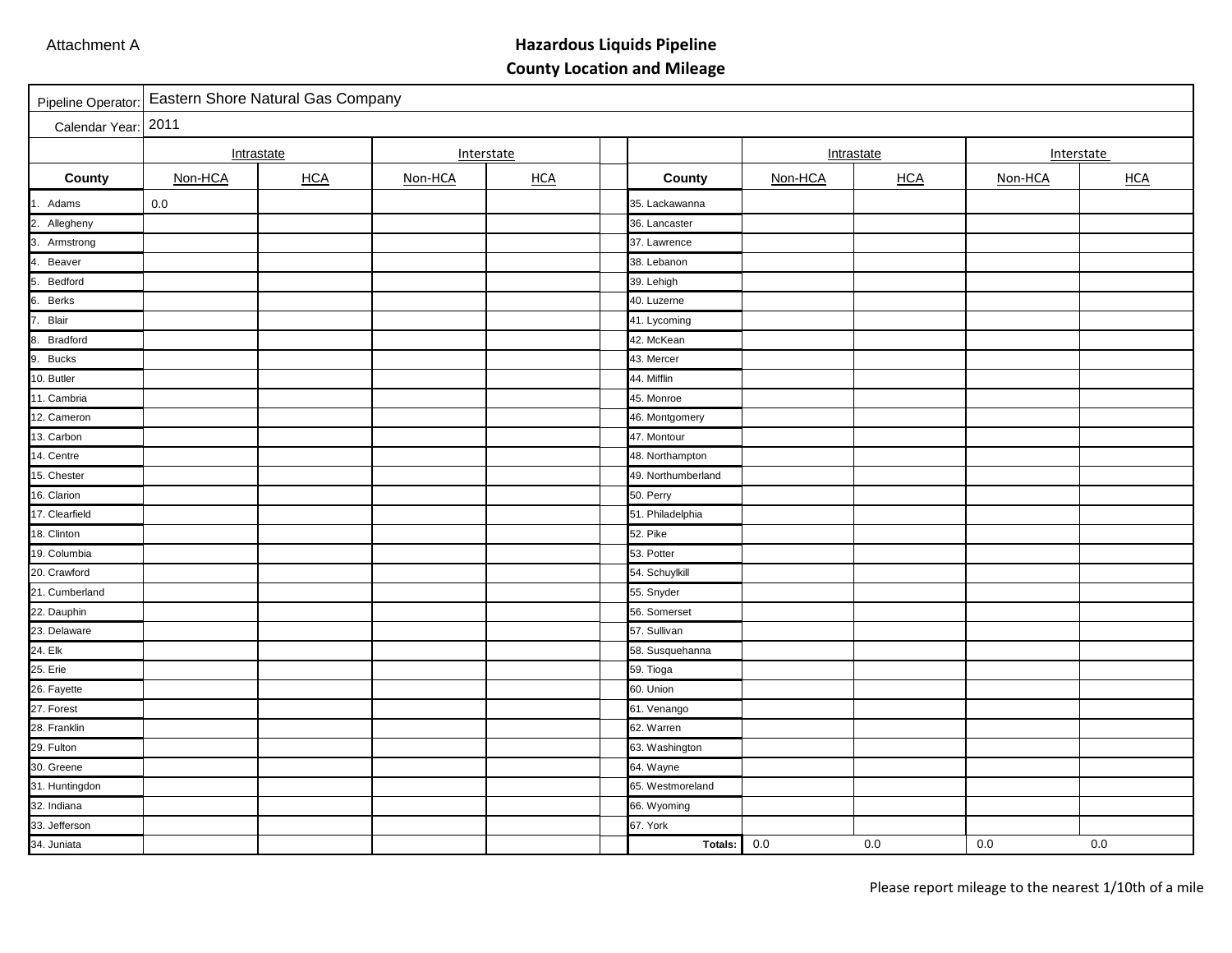# **Hazardous Liquids Pipeline County Location and Mileage**

| Pipeline Operator:    | Eastern Shore Natural Gas Company |            |            |       |                    |            |            |         |            |
|-----------------------|-----------------------------------|------------|------------|-------|--------------------|------------|------------|---------|------------|
| Calendar Year:        | 2011                              |            |            |       |                    |            |            |         |            |
|                       | Intrastate                        |            | Interstate |       |                    | Intrastate |            |         | Interstate |
| County                | Non-HCA                           | <b>HCA</b> | Non-HCA    | $HCA$ | County             | Non-HCA    | <b>HCA</b> | Non-HCA | <b>HCA</b> |
| Adams<br>1.           | 0.0                               |            |            |       | 35. Lackawanna     |            |            |         |            |
| 2.<br>Allegheny       |                                   |            |            |       | 36. Lancaster      |            |            |         |            |
| 3. Armstrong          |                                   |            |            |       | 37. Lawrence       |            |            |         |            |
| 4.<br>Beaver          |                                   |            |            |       | 38. Lebanon        |            |            |         |            |
| 5.<br>Bedford         |                                   |            |            |       | 39. Lehigh         |            |            |         |            |
| 6. Berks              |                                   |            |            |       | 40. Luzerne        |            |            |         |            |
| 7. Blair              |                                   |            |            |       | 41. Lycoming       |            |            |         |            |
| 8.<br><b>Bradford</b> |                                   |            |            |       | 42. McKean         |            |            |         |            |
| 9. Bucks              |                                   |            |            |       | 43. Mercer         |            |            |         |            |
| 10. Butler            |                                   |            |            |       | 44. Mifflin        |            |            |         |            |
| 11. Cambria           |                                   |            |            |       | 45. Monroe         |            |            |         |            |
| 12. Cameron           |                                   |            |            |       | 46. Montgomery     |            |            |         |            |
| 13. Carbon            |                                   |            |            |       | 47. Montour        |            |            |         |            |
| 14. Centre            |                                   |            |            |       | 48. Northampton    |            |            |         |            |
| 15. Chester           |                                   |            |            |       | 49. Northumberland |            |            |         |            |
| 16. Clarion           |                                   |            |            |       | 50. Perry          |            |            |         |            |
| 17. Clearfield        |                                   |            |            |       | 51. Philadelphia   |            |            |         |            |
| 18. Clinton           |                                   |            |            |       | 52. Pike           |            |            |         |            |
| 19. Columbia          |                                   |            |            |       | 53. Potter         |            |            |         |            |
| 20. Crawford          |                                   |            |            |       | 54. Schuylkill     |            |            |         |            |
| 21. Cumberland        |                                   |            |            |       | 55. Snyder         |            |            |         |            |
| 22. Dauphin           |                                   |            |            |       | 56. Somerset       |            |            |         |            |
| 23. Delaware          |                                   |            |            |       | 57. Sullivan       |            |            |         |            |
| 24. Elk               |                                   |            |            |       | 58. Susquehanna    |            |            |         |            |
| 25. Erie              |                                   |            |            |       | 59. Tioga          |            |            |         |            |
| 26. Fayette           |                                   |            |            |       | 60. Union          |            |            |         |            |
| 27. Forest            |                                   |            |            |       | 61. Venango        |            |            |         |            |
| 28. Franklin          |                                   |            |            |       | 62. Warren         |            |            |         |            |
| 29. Fulton            |                                   |            |            |       | 63. Washington     |            |            |         |            |
| 30. Greene            |                                   |            |            |       | 64. Wayne          |            |            |         |            |
| 31. Huntingdon        |                                   |            |            |       | 65. Westmoreland   |            |            |         |            |
| 32. Indiana           |                                   |            |            |       | 66. Wyoming        |            |            |         |            |
| 33. Jefferson         |                                   |            |            |       | 67. York           |            |            |         |            |
| 34. Juniata           |                                   |            |            |       | Totals:            | 0.0        | 0.0        | 0.0     | 0.0        |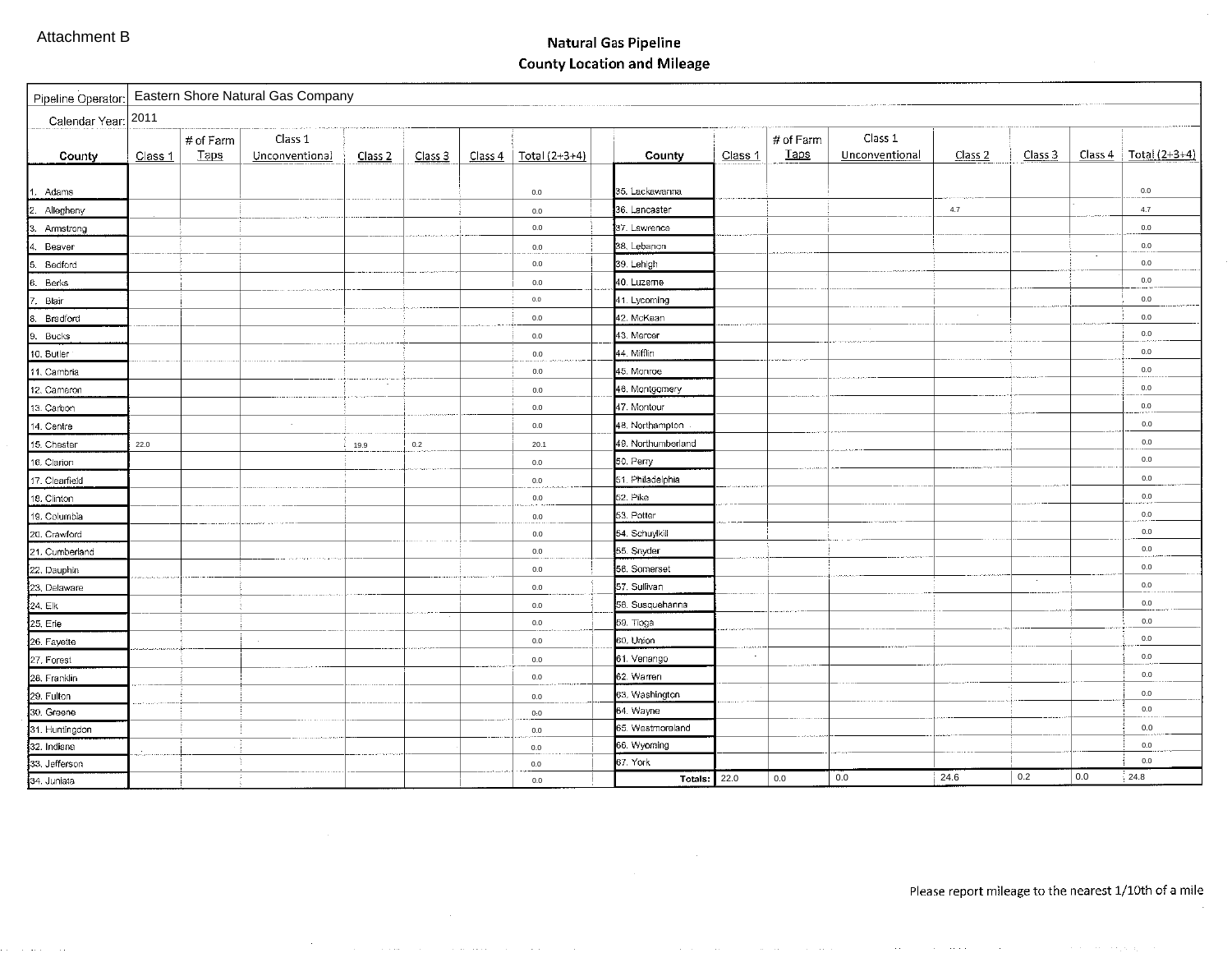## **Natural Gas Pipeline County Location and Mileage**

|                | Pipeline Operator: Eastern Shore Natural Gas Company |             |                |                    |         |         |                 |                     |         |             |                |                    |         |         |                 |
|----------------|------------------------------------------------------|-------------|----------------|--------------------|---------|---------|-----------------|---------------------|---------|-------------|----------------|--------------------|---------|---------|-----------------|
|                | Calendar Year: 2011                                  |             |                |                    |         |         |                 |                     |         |             |                |                    |         |         |                 |
|                |                                                      | # of Farm   | Class 1        |                    |         |         |                 |                     |         | # of Farm   | Class 1        |                    |         |         |                 |
| County         | Class 1                                              | <b>Taps</b> | Unconventional | Class <sub>2</sub> | Class 3 | Class 4 | $Total (2+3+4)$ | County              | Class 1 | <b>Taps</b> | Unconventional | Class <sub>2</sub> | Class 3 | Class 4 | Total $(2+3+4)$ |
|                |                                                      |             |                |                    |         |         |                 |                     |         |             |                |                    |         |         |                 |
| . Adams        |                                                      |             |                |                    |         |         | 0.0             | 35. Lackawanna      |         |             |                |                    |         |         | 0.0             |
| Allegheny      |                                                      |             |                |                    |         |         | 0.0             | 36. Lancaster       |         |             |                | 4.7                |         |         | 4.7             |
| Armstrong      |                                                      |             |                |                    |         |         | 0.0             | 37. Lawrence        |         |             |                |                    |         |         | 0.0             |
| Beaver         |                                                      |             |                |                    |         |         | $0.0\,$         | 38. Lebanon         |         |             |                |                    |         |         | 0.0             |
| Bedford        |                                                      |             |                |                    |         |         | 0.0             | 39. Lehigh          |         |             |                |                    |         |         | 0.0             |
| Berks          |                                                      |             |                |                    |         |         | 0.0             | 40. Luzerne         |         |             |                |                    |         |         | 0.0             |
| Blair          |                                                      |             |                |                    |         |         | $0.0\,$         | 41. Lycoming        |         |             |                |                    |         |         | 0.0             |
| Bradford       |                                                      |             |                |                    |         |         | 0.0             | 42. McKean          |         |             |                | $\epsilon$         |         |         | 0.0             |
| Bucks          |                                                      |             |                |                    |         |         | 0.0             | 43. Mercer          |         |             |                |                    |         |         | $0.0\,$         |
| 10. Butler     |                                                      |             |                |                    |         |         | 0.0             | 44. Mifflin         |         |             |                |                    |         |         | 0.0             |
| 11. Cambria    |                                                      |             |                |                    |         |         | 0.0             | 45. Monroe          |         |             |                |                    |         |         | 0.0             |
| 12. Cameron    |                                                      |             |                | $\cdot$            |         |         | 0.0             | 46. Montgomery      |         |             |                |                    |         |         | 0.0             |
| 13. Carbon     |                                                      |             |                |                    |         |         | 0.0             | 47. Montour         |         |             |                |                    |         |         | 0.0             |
| 14. Centre     |                                                      |             | $\sim$         |                    |         |         | 0.0             | 48. Northampton     |         |             |                |                    |         |         | $0.0\,$         |
| 15. Chester    | 22.0                                                 |             |                | 19.9               | $0.2\,$ |         | 20.1            | 49. Northumberland  |         |             |                |                    |         |         | $0.0\,$         |
| 16. Clarion    |                                                      |             |                |                    |         |         | 0.0             | 50. Perry           |         |             |                |                    |         |         | $0.0\,$         |
| 17. Clearfield |                                                      |             |                |                    |         |         | 0.0             | 51. Philadelphia    |         |             |                |                    |         |         | 0.0             |
| 18. Clinton    |                                                      |             |                |                    |         |         | 0.0             | 52. Pike            |         |             |                |                    |         |         | $0.0\,$         |
| 19. Columbia   |                                                      |             |                |                    |         |         | 0.0             | 53. Potter          |         |             |                |                    |         |         | $0.0\,$         |
| 20. Crawford   |                                                      |             |                |                    |         |         | 0.0             | 54. Schuylkill      |         |             |                |                    |         |         | 0.0             |
| 21. Cumberland |                                                      |             |                |                    |         |         | 0.0             | 55. Snyder          |         |             |                |                    |         |         | $0.0\,$         |
| 22. Dauphin    |                                                      |             |                |                    |         |         | 0.0             | 56. Somerset        |         |             |                |                    |         |         | $0.0\,$         |
| 23, Delaware   |                                                      |             |                |                    |         |         | 0.0             | 57. Sullivan        |         |             |                |                    |         |         | $0.0\,$         |
| 24. Elk        |                                                      |             |                |                    |         |         | 0.0             | 58. Susquehanna     |         |             |                |                    |         |         | $0.0\,$         |
| 25, Erie       |                                                      |             |                |                    |         |         | 0.0             | 59. Tioga           |         |             |                |                    |         |         | $0.0\,$         |
| 26 Fayette     |                                                      |             |                |                    |         |         | 0.0             | 60. Union           |         |             |                |                    |         |         | $0.0\,$         |
| 27. Forest     |                                                      |             |                |                    |         |         | 0.0             | 61. Venango         |         |             |                |                    |         |         | 0.0             |
| 28. Franklin   |                                                      |             |                |                    |         |         | 0.0             | 62. Warren          |         |             |                |                    |         |         | $0.0\,$         |
| 29. Fulton     |                                                      |             |                |                    |         |         | 0.0             | 63. Washington      |         |             |                |                    |         |         | 0.0             |
| 30. Greene     |                                                      |             |                |                    |         |         | 0:0             | 64. Wayne           |         |             |                |                    |         |         | 0.0             |
| 31. Huntingdon |                                                      |             |                |                    |         |         | 0.0             | 65. Westmoreland    |         |             |                |                    |         |         | $0.0\,$         |
| 32. Indiana    |                                                      |             |                |                    |         |         | 0.0             | 66. Wyoming         |         |             |                |                    |         |         | 0.0             |
| 33. Jefferson  |                                                      |             |                |                    |         |         | 0.0             | 67. York            |         |             |                |                    |         |         | 0.0             |
| 34 Juniata     |                                                      |             |                |                    |         |         | 0.0             | <b>Totals: 22.0</b> |         | 0.0         | 0.0            | 24.6               | 0.2     | 0.0     | 24.8            |

the company of the control of the company of the control of

 $\sim$